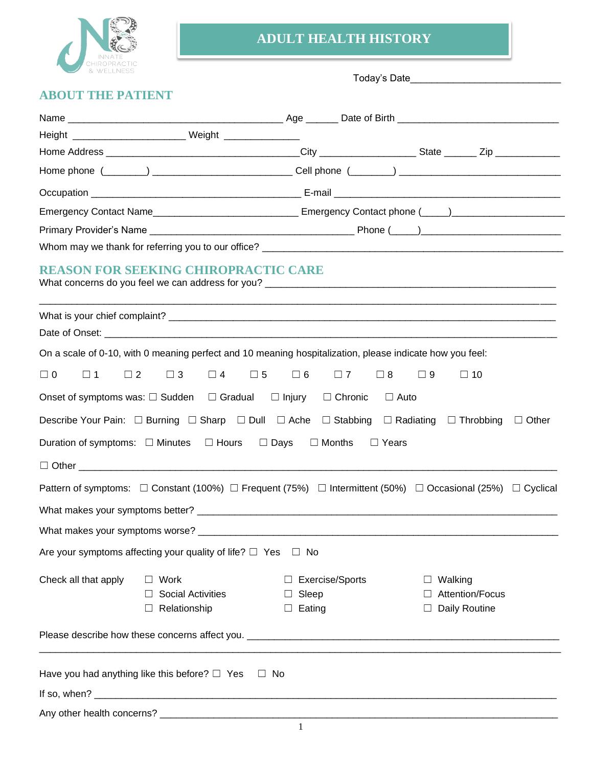

## **ADULT HEALTH HISTORY**

Today's Date\_\_\_\_\_\_\_\_\_\_\_\_\_\_\_\_\_\_\_\_\_\_\_\_\_\_\_\_

# **ABOUT THE PATIENT**

|                                     | Height ___________________________________ Weight ______________________________ |                                                                                                                           |                                                                                                                                     |  |  |
|-------------------------------------|----------------------------------------------------------------------------------|---------------------------------------------------------------------------------------------------------------------------|-------------------------------------------------------------------------------------------------------------------------------------|--|--|
|                                     |                                                                                  |                                                                                                                           |                                                                                                                                     |  |  |
|                                     |                                                                                  |                                                                                                                           |                                                                                                                                     |  |  |
|                                     |                                                                                  |                                                                                                                           |                                                                                                                                     |  |  |
|                                     |                                                                                  |                                                                                                                           | Emergency Contact Name__________________________________ Emergency Contact phone (_____)______________________                      |  |  |
|                                     |                                                                                  |                                                                                                                           |                                                                                                                                     |  |  |
|                                     |                                                                                  |                                                                                                                           |                                                                                                                                     |  |  |
|                                     | <b>REASON FOR SEEKING CHIROPRACTIC CARE</b>                                      |                                                                                                                           |                                                                                                                                     |  |  |
|                                     |                                                                                  |                                                                                                                           |                                                                                                                                     |  |  |
|                                     |                                                                                  |                                                                                                                           |                                                                                                                                     |  |  |
|                                     |                                                                                  | On a scale of 0-10, with 0 meaning perfect and 10 meaning hospitalization, please indicate how you feel:                  |                                                                                                                                     |  |  |
| $\Box$ 0<br>$\square$ 1<br>$\Box$ 2 | $\Box$ 3<br>$\Box$ 4                                                             | $\square$ 5<br>$\square$ 6<br>$\Box$ 7<br>$\Box$ 8                                                                        | $\Box$ 9<br>$\Box$ 10                                                                                                               |  |  |
|                                     | Onset of symptoms was: $\square$ Sudden $\square$ Gradual $\square$ Injury       | $\Box$ Chronic                                                                                                            | $\Box$ Auto                                                                                                                         |  |  |
|                                     |                                                                                  | Describe Your Pain: $\Box$ Burning $\Box$ Sharp $\Box$ Dull $\Box$ Ache $\Box$ Stabbing $\Box$ Radiating $\Box$ Throbbing | $\Box$ Other                                                                                                                        |  |  |
|                                     | Duration of symptoms: $\Box$ Minutes $\Box$ Hours $\Box$ Days                    | $\Box$ Months<br>$\Box$ Years                                                                                             |                                                                                                                                     |  |  |
|                                     |                                                                                  |                                                                                                                           |                                                                                                                                     |  |  |
|                                     |                                                                                  |                                                                                                                           | Pattern of symptoms: $\Box$ Constant (100%) $\Box$ Frequent (75%) $\Box$ Intermittent (50%) $\Box$ Occasional (25%) $\Box$ Cyclical |  |  |
|                                     |                                                                                  |                                                                                                                           |                                                                                                                                     |  |  |
|                                     |                                                                                  |                                                                                                                           |                                                                                                                                     |  |  |
|                                     | Are your symptoms affecting your quality of life? $\Box$ Yes                     | $\Box$ No                                                                                                                 |                                                                                                                                     |  |  |
| Check all that apply                | $\Box$ Work<br><b>Social Activities</b><br>Relationship                          | <b>Exercise/Sports</b><br>ப<br>Sleep<br>Eating                                                                            | Walking<br>Attention/Focus<br>Daily Routine                                                                                         |  |  |
|                                     |                                                                                  |                                                                                                                           |                                                                                                                                     |  |  |
|                                     | Have you had anything like this before? $\Box$ Yes                               | No                                                                                                                        |                                                                                                                                     |  |  |
|                                     |                                                                                  |                                                                                                                           |                                                                                                                                     |  |  |
|                                     |                                                                                  |                                                                                                                           |                                                                                                                                     |  |  |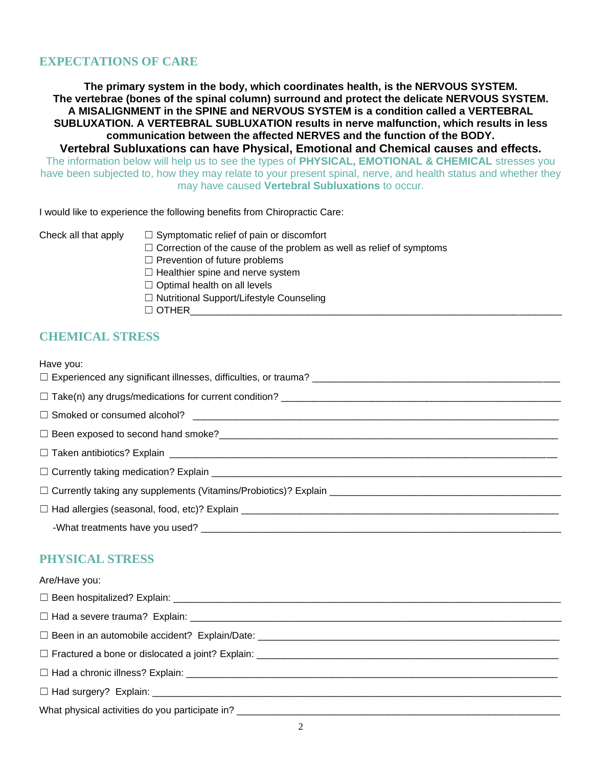#### **EXPECTATIONS OF CARE**

**The primary system in the body, which coordinates health, is the NERVOUS SYSTEM. The vertebrae (bones of the spinal column) surround and protect the delicate NERVOUS SYSTEM. A MISALIGNMENT in the SPINE and NERVOUS SYSTEM is a condition called a VERTEBRAL SUBLUXATION. A VERTEBRAL SUBLUXATION results in nerve malfunction, which results in less communication between the affected NERVES and the function of the BODY.**

**Vertebral Subluxations can have Physical, Emotional and Chemical causes and effects.** The information below will help us to see the types of **PHYSICAL, EMOTIONAL & CHEMICAL** stresses you have been subjected to, how they may relate to your present spinal, nerve, and health status and whether they may have caused **Vertebral Subluxations** to occur.

I would like to experience the following benefits from Chiropractic Care:

- Check all that apply  $\Box$  Symptomatic relief of pain or discomfort
	- $\Box$  Correction of the cause of the problem as well as relief of symptoms
	- $\Box$  Prevention of future problems
	- $\Box$  Healthier spine and nerve system
	- $\Box$  Optimal health on all levels
	- ☐ Nutritional Support/Lifestyle Counseling
	- $\Box$  OTHER

#### **CHEMICAL STRESS**

| Have you: |  |
|-----------|--|
|-----------|--|

#### **PHYSICAL STRESS**

| Are/Have you: |
|---------------|
|               |
|               |
|               |
|               |
|               |
|               |
|               |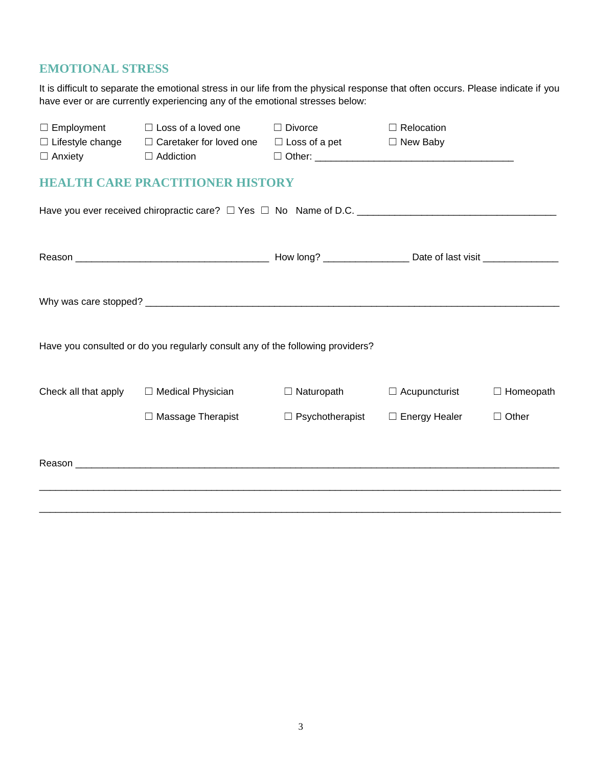### **EMOTIONAL STRESS**

It is difficult to separate the emotional stress in our life from the physical response that often occurs. Please indicate if you have ever or are currently experiencing any of the emotional stresses below:

| $\Box$ Employment                         | $\Box$ Loss of a loved one                                                                          | $\Box$ Divorce         | $\Box$ Relocation    |                  |
|-------------------------------------------|-----------------------------------------------------------------------------------------------------|------------------------|----------------------|------------------|
| $\Box$ Lifestyle change<br>$\Box$ Anxiety | $\Box$ Caretaker for loved one<br>$\Box$ Addiction                                                  | $\Box$ Loss of a pet   | $\Box$ New Baby      |                  |
|                                           |                                                                                                     |                        |                      |                  |
|                                           | <b>HEALTH CARE PRACTITIONER HISTORY</b>                                                             |                        |                      |                  |
|                                           | Have you ever received chiropractic care? □ Yes □ No Name of D.C. _________________________________ |                        |                      |                  |
|                                           |                                                                                                     |                        |                      |                  |
|                                           |                                                                                                     |                        |                      |                  |
|                                           |                                                                                                     |                        |                      |                  |
|                                           |                                                                                                     |                        |                      |                  |
|                                           |                                                                                                     |                        |                      |                  |
|                                           | Have you consulted or do you regularly consult any of the following providers?                      |                        |                      |                  |
|                                           |                                                                                                     |                        |                      |                  |
| Check all that apply                      | □ Medical Physician                                                                                 | $\Box$ Naturopath      | $\Box$ Acupuncturist | $\Box$ Homeopath |
|                                           | $\Box$ Massage Therapist                                                                            | $\Box$ Psychotherapist | $\Box$ Energy Healer | $\Box$ Other     |
|                                           |                                                                                                     |                        |                      |                  |
|                                           |                                                                                                     |                        |                      |                  |
|                                           |                                                                                                     |                        |                      |                  |
|                                           |                                                                                                     |                        |                      |                  |
|                                           |                                                                                                     |                        |                      |                  |